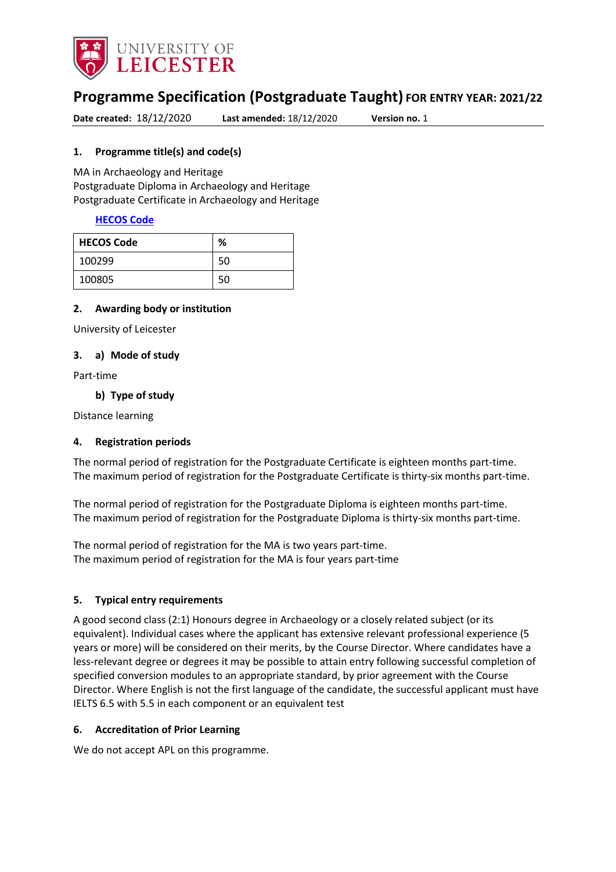

# **Programme Specification (Postgraduate Taught) FOR ENTRY YEAR: 2021/22**

**Date created:** 18/12/2020 **Last amended:** 18/12/2020 **Version no.** 1

#### <span id="page-0-0"></span>**1. Programme title(s) and code(s)**

MA in Archaeology and Heritage Postgraduate Diploma in Archaeology and Heritage Postgraduate Certificate in Archaeology and Heritage

#### **[HECOS Code](https://www.hesa.ac.uk/innovation/hecos)**

| <b>HECOS Code</b> | %  |
|-------------------|----|
| 100299            | 50 |
| 100805            | 50 |

#### **2. Awarding body or institution**

University of Leicester

#### **3. a) Mode of study**

Part-time

#### **b) Type of study**

Distance learning

#### **4. Registration periods**

The normal period of registration for the Postgraduate Certificate is eighteen months part-time. The maximum period of registration for the Postgraduate Certificate is thirty-six months part-time.

The normal period of registration for the Postgraduate Diploma is eighteen months part-time. The maximum period of registration for the Postgraduate Diploma is thirty-six months part-time.

The normal period of registration for the MA is two years part-time. The maximum period of registration for the MA is four years part-time

#### **5. Typical entry requirements**

A good second class (2:1) Honours degree in Archaeology or a closely related subject (or its equivalent). Individual cases where the applicant has extensive relevant professional experience (5 years or more) will be considered on their merits, by the Course Director. Where candidates have a less-relevant degree or degrees it may be possible to attain entry following successful completion of specified conversion modules to an appropriate standard, by prior agreement with the Course Director. Where English is not the first language of the candidate, the successful applicant must have IELTS 6.5 with 5.5 in each component or an equivalent test

#### **6. Accreditation of Prior Learning**

We do not accept APL on this programme.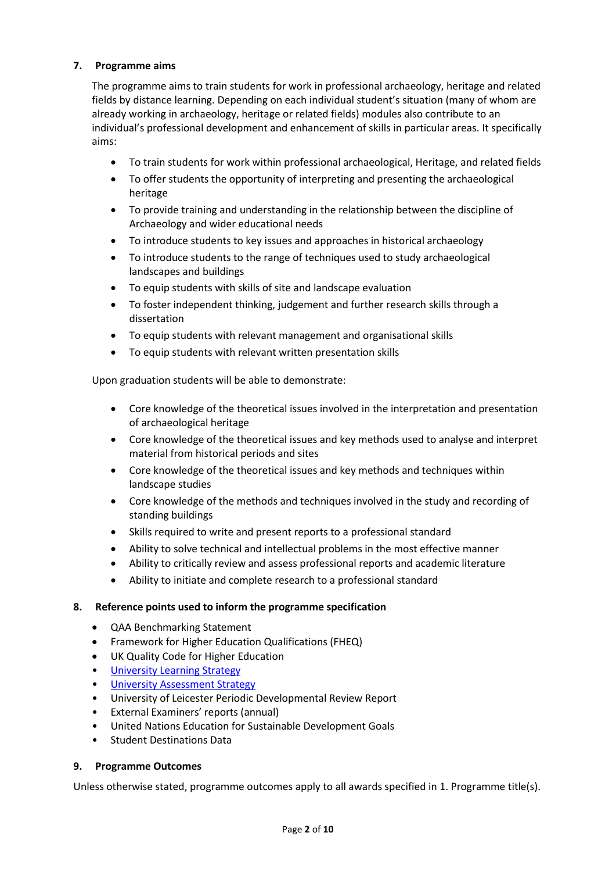## **7. Programme aims**

The programme aims to train students for work in professional archaeology, heritage and related fields by distance learning. Depending on each individual student's situation (many of whom are already working in archaeology, heritage or related fields) modules also contribute to an individual's professional development and enhancement of skills in particular areas. It specifically aims:

- To train students for work within professional archaeological, Heritage, and related fields
- To offer students the opportunity of interpreting and presenting the archaeological heritage
- To provide training and understanding in the relationship between the discipline of Archaeology and wider educational needs
- To introduce students to key issues and approaches in historical archaeology
- To introduce students to the range of techniques used to study archaeological landscapes and buildings
- To equip students with skills of site and landscape evaluation
- To foster independent thinking, judgement and further research skills through a dissertation
- To equip students with relevant management and organisational skills
- To equip students with relevant written presentation skills

Upon graduation students will be able to demonstrate:

- Core knowledge of the theoretical issues involved in the interpretation and presentation of archaeological heritage
- Core knowledge of the theoretical issues and key methods used to analyse and interpret material from historical periods and sites
- Core knowledge of the theoretical issues and key methods and techniques within landscape studies
- Core knowledge of the methods and techniques involved in the study and recording of standing buildings
- Skills required to write and present reports to a professional standard
- Ability to solve technical and intellectual problems in the most effective manner
- Ability to critically review and assess professional reports and academic literature
- Ability to initiate and complete research to a professional standard

#### **8. Reference points used to inform the programme specification**

- QAA Benchmarking Statement
- Framework for Higher Education Qualifications (FHEQ)
- UK Quality Code for Higher Education
- [University Learning](https://www2.le.ac.uk/offices/sas2/quality/learnteach) Strategy
- **[University Assessment Strategy](https://www2.le.ac.uk/offices/sas2/quality/learnteach)**
- University of Leicester Periodic Developmental Review Report
- External Examiners' reports (annual)
- United Nations Education for Sustainable Development Goals
- Student Destinations Data

#### **9. Programme Outcomes**

Unless otherwise stated, programme outcomes apply to all awards specified in [1.](#page-0-0) Programme title(s).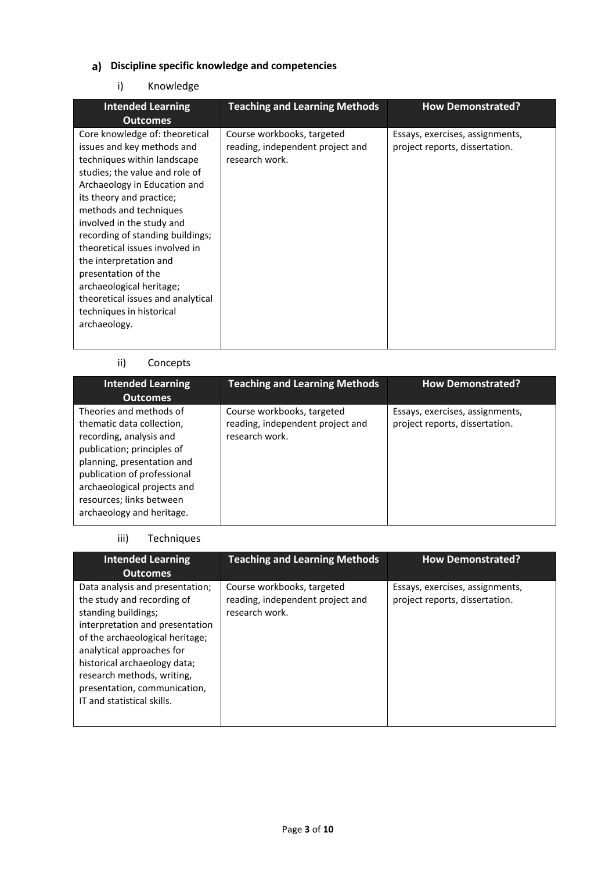# **Discipline specific knowledge and competencies**

# i) Knowledge

| <b>Intended Learning</b>                                                                                                                                                                                                                                                                                                                                                                                                                                                             | <b>Teaching and Learning Methods</b>                                             | <b>How Demonstrated?</b>                                          |
|--------------------------------------------------------------------------------------------------------------------------------------------------------------------------------------------------------------------------------------------------------------------------------------------------------------------------------------------------------------------------------------------------------------------------------------------------------------------------------------|----------------------------------------------------------------------------------|-------------------------------------------------------------------|
| <b>Outcomes</b>                                                                                                                                                                                                                                                                                                                                                                                                                                                                      |                                                                                  |                                                                   |
| Core knowledge of: theoretical<br>issues and key methods and<br>techniques within landscape<br>studies; the value and role of<br>Archaeology in Education and<br>its theory and practice;<br>methods and techniques<br>involved in the study and<br>recording of standing buildings;<br>theoretical issues involved in<br>the interpretation and<br>presentation of the<br>archaeological heritage;<br>theoretical issues and analytical<br>techniques in historical<br>archaeology. | Course workbooks, targeted<br>reading, independent project and<br>research work. | Essays, exercises, assignments,<br>project reports, dissertation. |

# ii) Concepts

| <b>Intended Learning</b><br><b>Outcomes</b>                                                                                                                                                                                                                        | <b>Teaching and Learning Methods</b>                                             | <b>How Demonstrated?</b>                                          |
|--------------------------------------------------------------------------------------------------------------------------------------------------------------------------------------------------------------------------------------------------------------------|----------------------------------------------------------------------------------|-------------------------------------------------------------------|
| Theories and methods of<br>thematic data collection,<br>recording, analysis and<br>publication; principles of<br>planning, presentation and<br>publication of professional<br>archaeological projects and<br>resources; links between<br>archaeology and heritage. | Course workbooks, targeted<br>reading, independent project and<br>research work. | Essays, exercises, assignments,<br>project reports, dissertation. |

## iii) Techniques

| <b>Intended Learning</b><br><b>Outcomes</b>                                                                                                                                                                                                                                                                         | <b>Teaching and Learning Methods</b>                                             | <b>How Demonstrated?</b>                                          |
|---------------------------------------------------------------------------------------------------------------------------------------------------------------------------------------------------------------------------------------------------------------------------------------------------------------------|----------------------------------------------------------------------------------|-------------------------------------------------------------------|
| Data analysis and presentation;<br>the study and recording of<br>standing buildings;<br>interpretation and presentation<br>of the archaeological heritage;<br>analytical approaches for<br>historical archaeology data;<br>research methods, writing,<br>presentation, communication,<br>IT and statistical skills. | Course workbooks, targeted<br>reading, independent project and<br>research work. | Essays, exercises, assignments,<br>project reports, dissertation. |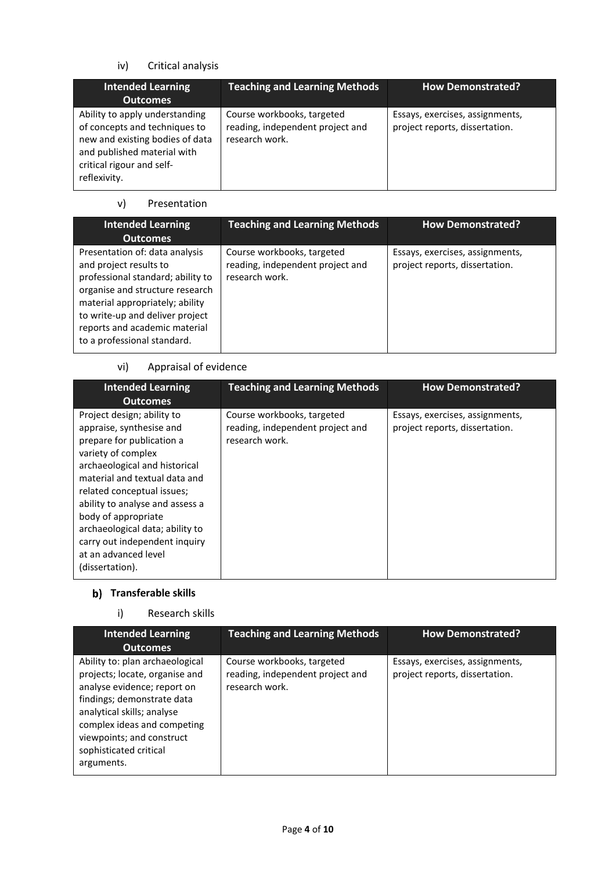# iv) Critical analysis

| <b>Intended Learning</b><br><b>Outcomes</b>                                                                                                                                    | <b>Teaching and Learning Methods</b>                                             | <b>How Demonstrated?</b>                                          |
|--------------------------------------------------------------------------------------------------------------------------------------------------------------------------------|----------------------------------------------------------------------------------|-------------------------------------------------------------------|
| Ability to apply understanding<br>of concepts and techniques to<br>new and existing bodies of data<br>and published material with<br>critical rigour and self-<br>reflexivity. | Course workbooks, targeted<br>reading, independent project and<br>research work. | Essays, exercises, assignments,<br>project reports, dissertation. |

# v) Presentation

| <b>Intended Learning</b><br><b>Outcomes</b>                                                                                                                                                                                                                            | <b>Teaching and Learning Methods</b>                                             | <b>How Demonstrated?</b>                                          |
|------------------------------------------------------------------------------------------------------------------------------------------------------------------------------------------------------------------------------------------------------------------------|----------------------------------------------------------------------------------|-------------------------------------------------------------------|
| Presentation of: data analysis<br>and project results to<br>professional standard; ability to<br>organise and structure research<br>material appropriately; ability<br>to write-up and deliver project<br>reports and academic material<br>to a professional standard. | Course workbooks, targeted<br>reading, independent project and<br>research work. | Essays, exercises, assignments,<br>project reports, dissertation. |

# vi) Appraisal of evidence

| <b>Intended Learning</b><br><b>Outcomes</b>                                                                                                                                                                                                                                                                                                                                        | <b>Teaching and Learning Methods</b>                                             | <b>How Demonstrated?</b>                                          |
|------------------------------------------------------------------------------------------------------------------------------------------------------------------------------------------------------------------------------------------------------------------------------------------------------------------------------------------------------------------------------------|----------------------------------------------------------------------------------|-------------------------------------------------------------------|
| Project design; ability to<br>appraise, synthesise and<br>prepare for publication a<br>variety of complex<br>archaeological and historical<br>material and textual data and<br>related conceptual issues;<br>ability to analyse and assess a<br>body of appropriate<br>archaeological data; ability to<br>carry out independent inquiry<br>at an advanced level<br>(dissertation). | Course workbooks, targeted<br>reading, independent project and<br>research work. | Essays, exercises, assignments,<br>project reports, dissertation. |

# **b)** Transferable skills

## i) Research skills

| <b>Intended Learning</b><br><b>Outcomes</b>                                                                                                                                                                                                                      | <b>Teaching and Learning Methods</b>                                             | <b>How Demonstrated?</b>                                          |
|------------------------------------------------------------------------------------------------------------------------------------------------------------------------------------------------------------------------------------------------------------------|----------------------------------------------------------------------------------|-------------------------------------------------------------------|
| Ability to: plan archaeological<br>projects; locate, organise and<br>analyse evidence; report on<br>findings; demonstrate data<br>analytical skills; analyse<br>complex ideas and competing<br>viewpoints; and construct<br>sophisticated critical<br>arguments. | Course workbooks, targeted<br>reading, independent project and<br>research work. | Essays, exercises, assignments,<br>project reports, dissertation. |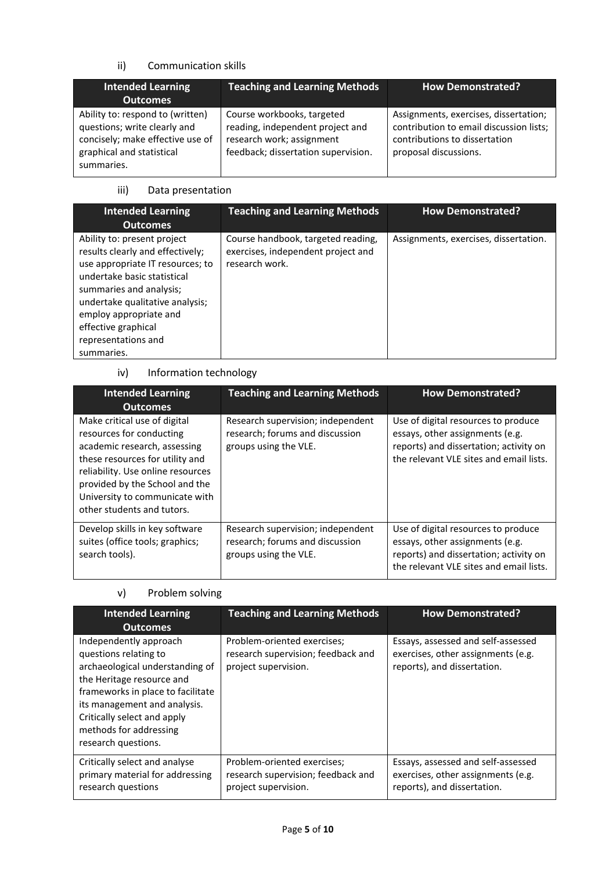## ii) Communication skills

| <b>Intended Learning</b><br><b>Outcomes</b>                                                                                                     | <b>Teaching and Learning Methods</b>                                                                                               | <b>How Demonstrated?</b>                                                                                                                   |
|-------------------------------------------------------------------------------------------------------------------------------------------------|------------------------------------------------------------------------------------------------------------------------------------|--------------------------------------------------------------------------------------------------------------------------------------------|
| Ability to: respond to (written)<br>questions; write clearly and<br>concisely; make effective use of<br>graphical and statistical<br>summaries. | Course workbooks, targeted<br>reading, independent project and<br>research work; assignment<br>feedback; dissertation supervision. | Assignments, exercises, dissertation;<br>contribution to email discussion lists;<br>contributions to dissertation<br>proposal discussions. |

#### iii) Data presentation

| <b>Intended Learning</b><br><b>Outcomes</b>                                                                                                                                                                                                                                            | <b>Teaching and Learning Methods</b>                                                       | <b>How Demonstrated?</b>              |
|----------------------------------------------------------------------------------------------------------------------------------------------------------------------------------------------------------------------------------------------------------------------------------------|--------------------------------------------------------------------------------------------|---------------------------------------|
| Ability to: present project<br>results clearly and effectively;<br>use appropriate IT resources; to<br>undertake basic statistical<br>summaries and analysis;<br>undertake qualitative analysis;<br>employ appropriate and<br>effective graphical<br>representations and<br>summaries. | Course handbook, targeted reading,<br>exercises, independent project and<br>research work. | Assignments, exercises, dissertation. |

# iv) Information technology

| <b>Intended Learning</b><br><b>Outcomes</b>                                                                                                                                                                                                                        | <b>Teaching and Learning Methods</b>                                                          | <b>How Demonstrated?</b>                                                                                                                                    |
|--------------------------------------------------------------------------------------------------------------------------------------------------------------------------------------------------------------------------------------------------------------------|-----------------------------------------------------------------------------------------------|-------------------------------------------------------------------------------------------------------------------------------------------------------------|
| Make critical use of digital<br>resources for conducting<br>academic research, assessing<br>these resources for utility and<br>reliability. Use online resources<br>provided by the School and the<br>University to communicate with<br>other students and tutors. | Research supervision; independent<br>research; forums and discussion<br>groups using the VLE. | Use of digital resources to produce<br>essays, other assignments (e.g.<br>reports) and dissertation; activity on<br>the relevant VLE sites and email lists. |
| Develop skills in key software<br>suites (office tools; graphics;<br>search tools).                                                                                                                                                                                | Research supervision; independent<br>research; forums and discussion<br>groups using the VLE. | Use of digital resources to produce<br>essays, other assignments (e.g.<br>reports) and dissertation; activity on<br>the relevant VLE sites and email lists. |

# v) Problem solving

| <b>Intended Learning</b><br><b>Outcomes</b>                                                                                                                                                                                                                          | <b>Teaching and Learning Methods</b>                                                      | <b>How Demonstrated?</b>                                                                                |
|----------------------------------------------------------------------------------------------------------------------------------------------------------------------------------------------------------------------------------------------------------------------|-------------------------------------------------------------------------------------------|---------------------------------------------------------------------------------------------------------|
| Independently approach<br>questions relating to<br>archaeological understanding of<br>the Heritage resource and<br>frameworks in place to facilitate<br>its management and analysis.<br>Critically select and apply<br>methods for addressing<br>research questions. | Problem-oriented exercises;<br>research supervision; feedback and<br>project supervision. | Essays, assessed and self-assessed<br>exercises, other assignments (e.g.<br>reports), and dissertation. |
| Critically select and analyse<br>primary material for addressing<br>research questions                                                                                                                                                                               | Problem-oriented exercises;<br>research supervision; feedback and<br>project supervision. | Essays, assessed and self-assessed<br>exercises, other assignments (e.g.<br>reports), and dissertation. |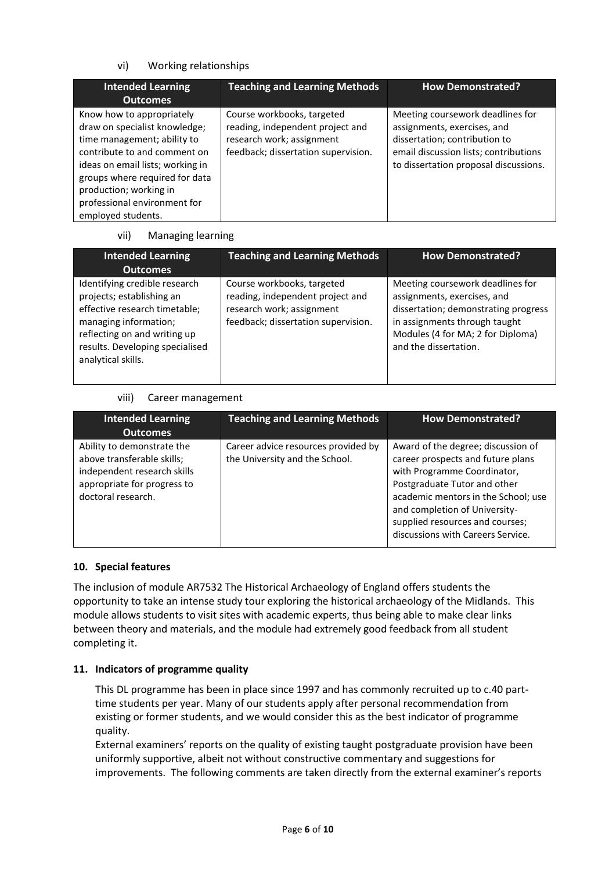## vi) Working relationships

| <b>Intended Learning</b><br><b>Outcomes</b>                                                                                                                                                                                                                                     | <b>Teaching and Learning Methods</b>                                                                                               | <b>How Demonstrated?</b>                                                                                                                                                           |
|---------------------------------------------------------------------------------------------------------------------------------------------------------------------------------------------------------------------------------------------------------------------------------|------------------------------------------------------------------------------------------------------------------------------------|------------------------------------------------------------------------------------------------------------------------------------------------------------------------------------|
| Know how to appropriately<br>draw on specialist knowledge;<br>time management; ability to<br>contribute to and comment on<br>ideas on email lists; working in<br>groups where required for data<br>production; working in<br>professional environment for<br>employed students. | Course workbooks, targeted<br>reading, independent project and<br>research work; assignment<br>feedback; dissertation supervision. | Meeting coursework deadlines for<br>assignments, exercises, and<br>dissertation; contribution to<br>email discussion lists; contributions<br>to dissertation proposal discussions. |

#### vii) Managing learning

| <b>Intended Learning</b><br>Outcomes                                                                                                                                                                          | <b>Teaching and Learning Methods</b>                                                                                               | <b>How Demonstrated?</b>                                                                                                                                                                               |
|---------------------------------------------------------------------------------------------------------------------------------------------------------------------------------------------------------------|------------------------------------------------------------------------------------------------------------------------------------|--------------------------------------------------------------------------------------------------------------------------------------------------------------------------------------------------------|
| Identifying credible research<br>projects; establishing an<br>effective research timetable;<br>managing information;<br>reflecting on and writing up<br>results. Developing specialised<br>analytical skills. | Course workbooks, targeted<br>reading, independent project and<br>research work; assignment<br>feedback; dissertation supervision. | Meeting coursework deadlines for<br>assignments, exercises, and<br>dissertation; demonstrating progress<br>in assignments through taught<br>Modules (4 for MA; 2 for Diploma)<br>and the dissertation. |

## viii) Career management

| <b>Intended Learning</b><br><b>Outcomes</b>                                                                                                  | <b>Teaching and Learning Methods</b>                                  | <b>How Demonstrated?</b>                                                                                                                                                                                                                                                               |
|----------------------------------------------------------------------------------------------------------------------------------------------|-----------------------------------------------------------------------|----------------------------------------------------------------------------------------------------------------------------------------------------------------------------------------------------------------------------------------------------------------------------------------|
| Ability to demonstrate the<br>above transferable skills;<br>independent research skills<br>appropriate for progress to<br>doctoral research. | Career advice resources provided by<br>the University and the School. | Award of the degree; discussion of<br>career prospects and future plans<br>with Programme Coordinator,<br>Postgraduate Tutor and other<br>academic mentors in the School; use<br>and completion of University-<br>supplied resources and courses;<br>discussions with Careers Service. |

## **10. Special features**

The inclusion of module AR7532 The Historical Archaeology of England offers students the opportunity to take an intense study tour exploring the historical archaeology of the Midlands. This module allows students to visit sites with academic experts, thus being able to make clear links between theory and materials, and the module had extremely good feedback from all student completing it.

## **11. Indicators of programme quality**

This DL programme has been in place since 1997 and has commonly recruited up to c.40 parttime students per year. Many of our students apply after personal recommendation from existing or former students, and we would consider this as the best indicator of programme quality.

External examiners' reports on the quality of existing taught postgraduate provision have been uniformly supportive, albeit not without constructive commentary and suggestions for improvements. The following comments are taken directly from the external examiner's reports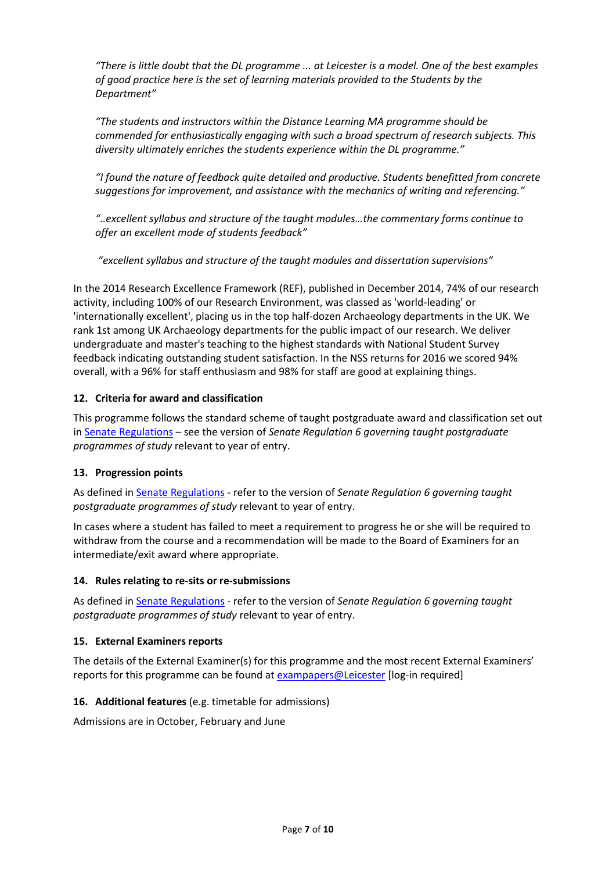"There is little doubt that the DL programme ... at Leicester is a model. One of the best examples *of good practice here is the set of learning materials provided to the Students by the Department"*

*"The students and instructors within the Distance Learning MA programme should be commended for enthusiastically engaging with such a broad spectrum of research subjects. This diversity ultimately enriches the students experience within the DL programme."* 

*"I found the nature of feedback quite detailed and productive. Students benefitted from concrete suggestions for improvement, and assistance with the mechanics of writing and referencing."*

*"..excellent syllabus and structure of the taught modules…the commentary forms continue to offer an excellent mode of students feedback"*

*"excellent syllabus and structure of the taught modules and dissertation supervisions"*

In the 2014 Research Excellence Framework (REF), published in December 2014, 74% of our research activity, including 100% of our Research Environment, was classed as 'world-leading' or 'internationally excellent', placing us in the top half-dozen Archaeology departments in the UK. We rank 1st among UK Archaeology departments for the public impact of our research. We deliver undergraduate and master's teaching to the highest standards with National Student Survey feedback indicating outstanding student satisfaction. In the NSS returns for 2016 we scored 94% overall, with a 96% for staff enthusiasm and 98% for staff are good at explaining things.

# **12. Criteria for award and classification**

This programme follows the standard scheme of taught postgraduate award and classification set out i[n Senate Regulations](http://www.le.ac.uk/senate-regulations) – see the version of *Senate Regulation 6 governing taught postgraduate programmes of study* relevant to year of entry.

## **13. Progression points**

As defined i[n Senate Regulations](http://www.le.ac.uk/senate-regulation6) - refer to the version of *Senate Regulation 6 governing taught postgraduate programmes of study* relevant to year of entry.

In cases where a student has failed to meet a requirement to progress he or she will be required to withdraw from the course and a recommendation will be made to the Board of Examiners for an intermediate/exit award where appropriate.

## **14. Rules relating to re-sits or re-submissions**

As defined i[n Senate Regulations](http://www.le.ac.uk/senate-regulation6) - refer to the version of *Senate Regulation 6 governing taught postgraduate programmes of study* relevant to year of entry.

## **15. External Examiners reports**

The details of the External Examiner(s) for this programme and the most recent External Examiners' reports for this programme can be found at [exampapers@Leicester](https://exampapers.le.ac.uk/) [log-in required]

## **16. Additional features** (e.g. timetable for admissions)

Admissions are in October, February and June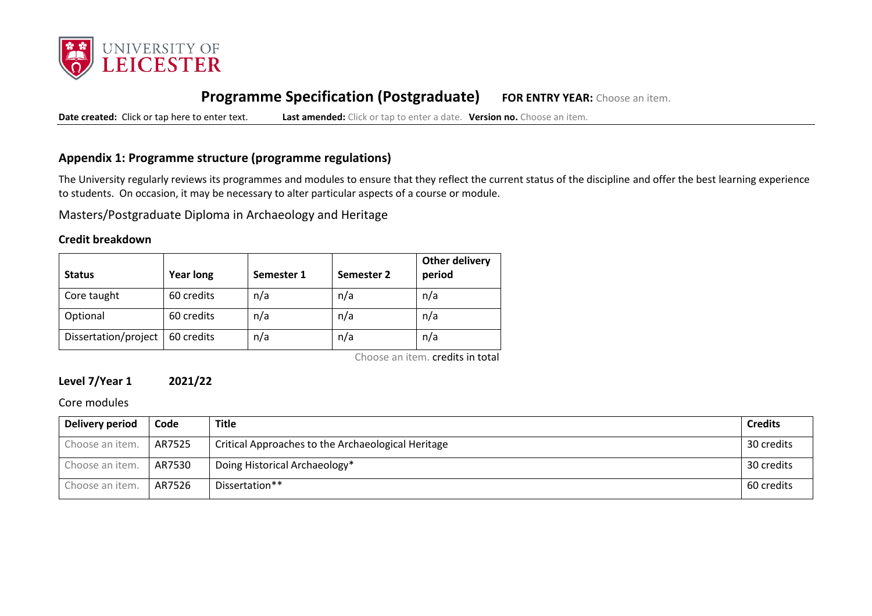

# **Programme Specification (Postgraduate) FOR ENTRY YEAR:** Choose an item.

**Date created:** Click or tap here to enter text. **Last amended:** Click or tap to enter a date. **Version no.** Choose an item.

# **Appendix 1: Programme structure (programme regulations)**

The University regularly reviews its programmes and modules to ensure that they reflect the current status of the discipline and offer the best learning experience to students. On occasion, it may be necessary to alter particular aspects of a course or module.

Masters/Postgraduate Diploma in Archaeology and Heritage

#### **Credit breakdown**

| <b>Status</b>        | <b>Year long</b> | Semester 1 | Semester 2 | <b>Other delivery</b><br>period |
|----------------------|------------------|------------|------------|---------------------------------|
| Core taught          | 60 credits       | n/a        | n/a        | n/a                             |
| Optional             | 60 credits       | n/a        | n/a        | n/a                             |
| Dissertation/project | 60 credits       | n/a        | n/a        | n/a                             |

Choose an item. credits in total

# **Level 7/Year 1 2021/22**

Core modules

| Delivery period | Code   | <b>Title</b>                                       | <b>Credits</b> |
|-----------------|--------|----------------------------------------------------|----------------|
| Choose an item. | AR7525 | Critical Approaches to the Archaeological Heritage | 30 credits     |
| Choose an item. | AR7530 | Doing Historical Archaeology*                      | 30 credits     |
| Choose an item. | AR7526 | Dissertation**                                     | 60 credits     |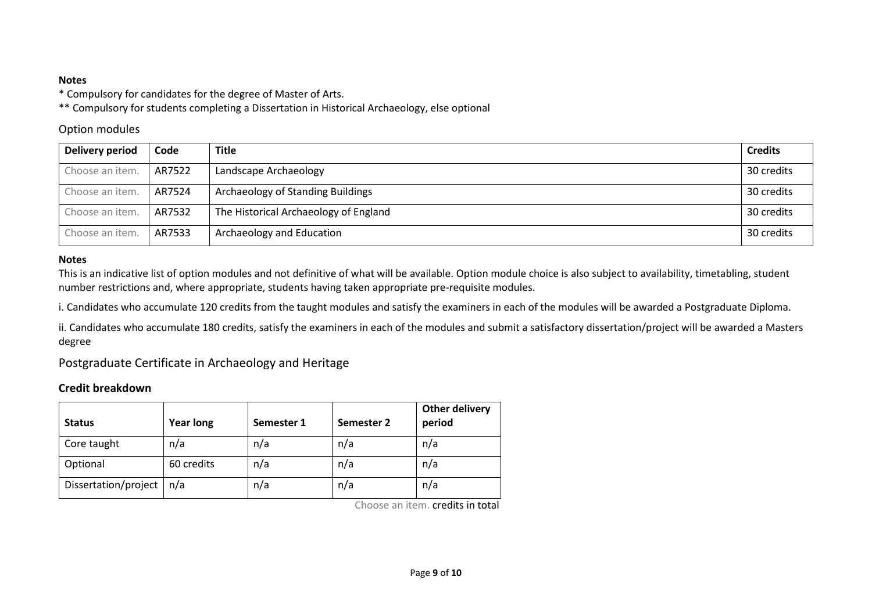## **Notes**

\* Compulsory for candidates for the degree of Master of Arts.

\*\* Compulsory for students completing a Dissertation in Historical Archaeology, else optional

# Option modules

| <b>Delivery period</b> | Code   | <b>Title</b>                          | <b>Credits</b> |
|------------------------|--------|---------------------------------------|----------------|
| Choose an item.        | AR7522 | Landscape Archaeology                 | 30 credits     |
| Choose an item.        | AR7524 | Archaeology of Standing Buildings     | 30 credits     |
| Choose an item.        | AR7532 | The Historical Archaeology of England | 30 credits     |
| Choose an item.        | AR7533 | Archaeology and Education             | 30 credits     |

## **Notes**

This is an indicative list of option modules and not definitive of what will be available. Option module choice is also subject to availability, timetabling, student number restrictions and, where appropriate, students having taken appropriate pre-requisite modules.

i. Candidates who accumulate 120 credits from the taught modules and satisfy the examiners in each of the modules will be awarded a Postgraduate Diploma.

ii. Candidates who accumulate 180 credits, satisfy the examiners in each of the modules and submit a satisfactory dissertation/project will be awarded a Masters degree

Postgraduate Certificate in Archaeology and Heritage

# **Credit breakdown**

| <b>Status</b>        | <b>Year long</b> | Semester 1 | Semester 2 | <b>Other delivery</b><br>period |
|----------------------|------------------|------------|------------|---------------------------------|
| Core taught          | n/a              | n/a        | n/a        | n/a                             |
| Optional             | 60 credits       | n/a        | n/a        | n/a                             |
| Dissertation/project | n/a              | n/a        | n/a        | n/a                             |

Choose an item. credits in total